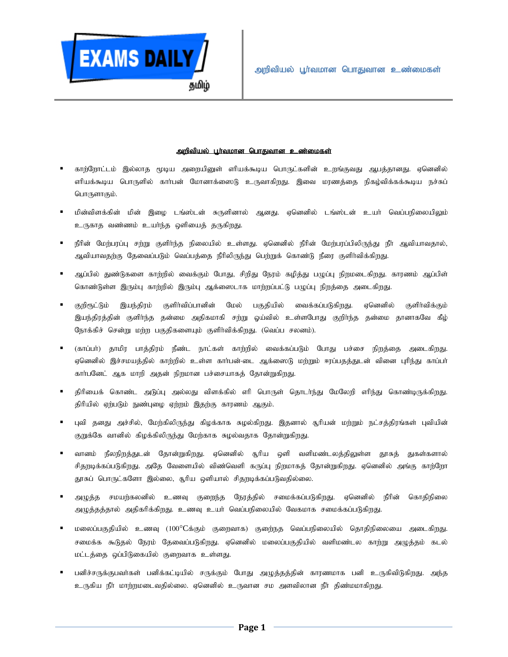

## <u>அறிவியல் பூர்வமான பொதுவான உண்மைகள்</u>

- காற்றோட்டம் இல்லாத மூடிய அறையினுள் எரியக்கூடிய பொருட்களின் உறங்குவது ஆபத்தானது. ஏனெனில் ளியக்கூடிய பொருளில் கார்பன் மோனாக்ஸைடு உருவாகிறது. இவை மரணத்தை நிகழ்விக்கக்கூடிய நச்சுப் பொருளாகும்.
- மின்விளக்கின் மின் இழை டங்ஸ்டன் சுருளினால் ஆனது. ஏனெனில் டங்ஸ்டன் உயர் வெப்பநிலையிலும் உருகாத வண்ணம் உயர்ந்த ஒளியைத் தருகிறது.
- = நீரின் மேற்பரப்பு சற்று குளிர்ந்த நிலையில் உள்ளது. ஏனெனில் நீரின் மேற்பரப்பிலிருந்து நீர் ஆவியாவதால், ஆவியாவதற்கு தேவைப்படும் வெப்பத்தை நீரிலிருந்து பெற்றுக் கொண்டு நீரை குளிர்விக்கிறது.
- ஆப்பில் துண்டுகளை காற்றில் வைக்கும் போது, சிறிது நேரம் கழித்து பழுப்பு நிறமடைகிறது. காரணம் ஆப்பிள் கொண்டுள்ள இரும்பு காற்றில் இரும்பு ஆக்ஸைடாக மாற்றப்பட்டு பழுப்பு நிறத்தை அடைகிறது.
- குறிரூட்டும் இயந்திரம் குளிர்விப்பானின் மேல் பகுதியில் வைக்கப்படுகிறது. ஏனெனில் குளிர்விக்கும் இயந்திரத்தின் குளிர்ந்த தன்மை அதிகமாகி சற்று ஒய்வில் உள்ளபோது குறிர்ந்த தன்மை தானாகவே கீம் நோக்கிச் சென்று மற்ற பகுதிகளையும் குளிர்விக்கிறது. (வெப்ப சலனம்).
- (காப்பா்) தாமிர பாத்திரம் நீண்ட நாட்கள் காற்றில் வைக்கப்படும் போது பச்சை நிறத்தை அடைகிறது. ஏனெனில் இச்சமயத்தில் காற்றில் உள்ள காா்பன்-டை ஆக்ஸைடு மற்றும் ஈரப்பதத்துடன் வினை புரிந்து காப்பா் கார்பனேட் ஆக மாறி அதன் நிறமான பச்சையாகத் தோன்றுகிறது.
- திரியைக் கொண்ட அடுப்பு அல்லது விளக்கில் எரி பொருள் தொடர்ந்து மேலேறி எரிந்து கொண்டிருக்கிறது. திரியில் ஏற்படும் நுண்புழை ஏற்றம் இதற்கு காரணம் ஆகும்.
- புவி தனது அச்சில், மேற்கிலிருந்து கிழக்காக சுழல்கிறது. இதனால் சூரியன் மற்றும் நட்சத்திரங்கள் புவியின் குறுக்கே வானில் கிழக்கிலிருந்து மேற்காக சுழல்வதாக தோன்றுகிறது.
- வானம் நீலநிறத்துடன் தோன்றுகிறது. ஏனெனில் சூரிய ஒளி வளிமண்டலத்திலுள்ள தூசுத் துகள்களால் சிதறடிக்கப்படுகிறது. அதே வேளையில் விண்வெளி கருப்பு நிறமாகத் தோன்றுகிறது. ஏனெனில் அங்கு காற்றோ தூசுப் பொருட்களோ இல்லை, சூரிய ஒளியால் சிதறடிக்கப்படுவதில்லை.
- **=** அழுத்த சமயற்கலனில் உணவு குறைந்த நேரத்தில் சமைக்கப்படுகிறது. ஏனெனில் நீரின் கொதிநிலை அழுத்தத்தால் அதிகரிக்கிறது. உணவு உயா் வெப்பநிலையில் வேகமாக சமைக்கப்படுகிறது.
- மலைப்பகுதியில் உணவு (100°Cக்கும் குறைவாக) குறை்நத வெப்பநிலையில் தொதிநிலையை அடைகிறது. சமைக்க கூடுதல் நேரம் தேவைப்படுகிறது. ஏனெனில் மலைப்பகுதியில் வளிமண்டல காற்று அழுத்தம் கடல் மட்டத்தை ஒப்பிடுகையில் குறைவாக உள்ளது.
- பனிச்சருக்குபவா்கள் பனிக்கட்டியில் சருக்கும் போது அழுத்தத்தின் காரணமாக பனி உருகிவிடுகிறது. அந்த உருகிய நீர் மாற்றமடைவதில்லை. ஏனெனில் உருவான சம அளவிலான நீர் திண்மமாகிறது.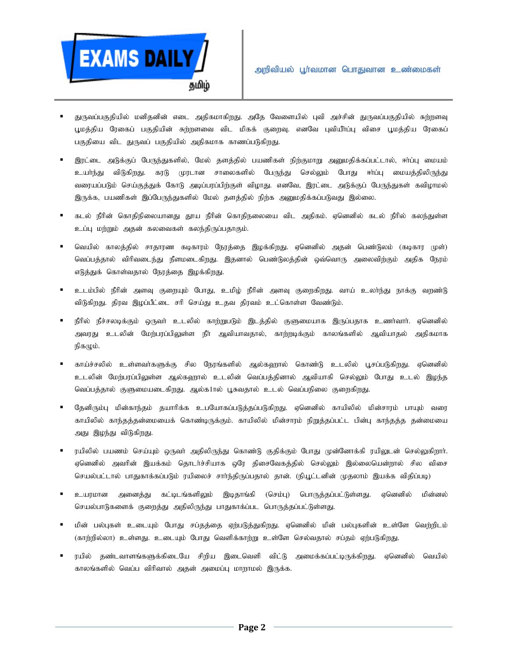

- துருவப்பகுதியில் மனிதனின் எடை அதிகமாகிறது. அதே வேளையில் புவி அச்சின் துருவப்பகுதியில் சுற்றளவு பூமத்திய ரேகைப் பகுதியின் சுற்றளவை விட மிகக் குறைவு. எனவே புவியீர்ப்பு விசை பூமத்திய ரேகைப் பகுதியை விட துருவப் பகுதியில் அதிகமாக காணப்படுகிறது.
- இரட்டை அடுக்குப் பேருந்துகளில், மேல் தளத்தில் பயணிகள் நிற்குமாறு அனுமதிக்கப்பட்டால், ஈாப்பு மையம் உயர்ந்து விடுகிறது. கரடு முரடான சாலைகளில் பேருந்து செல்லும் போது ஈர்ப்பு மையத்திலிருந்து வரையப்படும் செய்குத்துக் கோடு அடிப்பரப்பிற்குள் விழாது. எனவே, இரட்டை அடுக்குப் பேருந்துகள் கவிழாமல் இருக்க, பயணிகள் இப்பேருந்துகளில் மேல் தளத்தில் நிற்க அறுமதிக்கப்படுவது இல்லை.
- கடல் நீரின் கொதிநிலையானது தூய நீரின் கொதிநலையை விட அதிகம். ஏனெனில் கடல் நீரில் கலந்துள்ள உப்பு மற்றும் அதன் கலவைகள் கலந்திருப்பதாகும்.
- வெயில் காலத்தில் சாதாரண கடிகாரம் நேரத்தை இழக்கிறது. ஏனெனில் அதன் பெண்டுலம் (கடிகார முள்) வெப்பத்தால் விரிவடைந்து நீளமடைகிறது. இதனால் பெண்டுலத்தின் ஒவ்வொரு அலைவிற்கும் அதிக நேரம் எடுத்துக் கொள்வதால் நேரத்தை இழக்கிறது.
- உடம்பில் நீரின் அளவு குறையும் போது, உமிழ் நீரின் அளவு குறைகிறது. வாய் உலா்ந்து நாக்கு வறண்டு விடுகிறது. திரவ இழப்பீட்டை சரி செய்து உதவ திரவம் உட்கொள்ள வேண்டும்.
- நீரில் நீச்சலடிக்கும் ஒருவா் உடலில் காற்றுபடும் இடத்தில் குளுமையாக இருப்பதாக உணர்வார். ஏனெனில் அவரது உடலின் மேற்பரப்பிலுள்ள நீர் ஆவியாவதால், காற்றடிக்கும் காலங்களில் ஆவியாதல் அதிகமாக நிகழும்.
- காய்ச்சலில் உள்ளவர்களுக்கு சில நேரங்களில் ஆல்கஹால் கொண்டு உடலில் பூசப்படுகிறது. ஏனெனில் உடலின் மேற்பரப்பிலுள்ள ஆல்கஹால் உடலின் வெப்பத்தினால் ஆவியாகி செல்லும் போது உடல் இழந்த வெப்பத்தால் குளுமையடைகிறது. ஆல்க1ால் பூசுவதால் உடல் வெப்பநிலை குறைகிறது.
- தேனிரும்பு மின்காந்தம் தயாரிக்க உபயோகப்படுத்தப்படுகிறது. ஏனெனில் காயிலில் மின்சாரம் பாயும் வரை காயிலில் காந்தத்தன்மையைக் கொண்டிருக்கும். காயிலில் மின்சாரம் நிறுத்தப்பட்ட பின்பு காந்தத்த தன்மையை அது இழந்து விடுகிறது.
- ரயிலில் பயணம் செய்யும் ஒருவா் அதிலிருந்து கொண்டு குதிக்கும் போது முன்னோக்கி ரயிலுடன் செல்லுகிறாா். ஏனெனில் அவரின் இயக்கம் தொடர்ச்சியாக ஒரே திசைவேகத்தில் செல்லும் இல்லையென்றால் சில விசை செயல்பட்டால் பாதுகாக்கப்படும் ரயிலைச் சாா்ந்திருப்பதால் தான். (நியூட்டனின் முதலாம் இயக்க விதிப்படி)
- உயரமான அனைத்து கட்டிடங்களிலும் இடிதாங்கி (செம்பு) பொருத்தப்பட்டுள்ளது. ஏனெனில் மின்னல் செயல்பாடுகளைக் குறைத்து அதிலிருந்து பாதுகாக்ப்பட பொருத்தப்பட்டுள்ளது.
- மின் பல்புகள் உடையும் போது சப்தத்தை ஏற்படுத்துகிறது. ஏனெனில் மின் பல்புகளின் உள்ளே வெற்றிடம் (காற்றில்லா) உள்ளது. உடையும் போது வெளிக்காற்று உள்ளே செல்வதால் சப்தம் ஏற்படுகிறது.
- ரயில் தண்டவாளங்களுக்கிடையே சிறிய இடைவெளி விட்டு அமைக்கப்பட்டிருக்கிறது. ஏனெனில் வெயில் காலங்களில் வெப்ப விரிவால் அதன் அமைப்பு மாறாமல் இருக்க.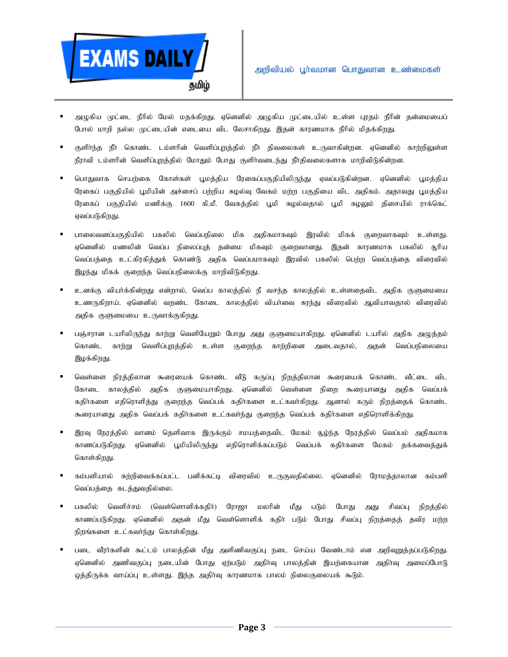

- அழுகிய முட்டை நீரில் மேல் மதக்கிறது. ஏனெனில் அழுகிய முட்டையில் உள்ள புரதம் நீரின் தன்மையைப் போல் மாறி நல்ல முட்டையின் எடையை விட லேசாகிறது. இதன் காரணமாக நீரில் மிதக்கிறது.
- குளிர்ந்த நீர் கொண்ட டம்ளரின் வெளிப்புறத்தில் நீர் திவலைகள் உருவாகின்றன. ஏனெனில் காற்றிலுள்ள நீராவி டம்ளரின் வெளிப்புறத்தில் மோதும் போது குளிர்வடைந்து நீர்திவலைகளாக மாறிவிடுகின்றன.
- பொதுவாக செயற்கை கோள்கள் பூமத்திய ரேகைப்பகுதியிலிருந்து ஏவப்படுகின்றன. ஏனெனில் பூமத்திய ரேகைப் பகுதியில் பூமியின் அச்சைப் பற்றிய சுழல்வு வேகம் மற்ற பகுதியை விட அதிகம். அதாவது பூமத்திய ரேகைப் பகுதியில் மணிக்கு 1600 கி.மீ. வேகத்தில் பூமி சுழல்வதால் பூமி சுழலும் திசையில் ராக்கெட் ஏவப்படுகிறது.
- பாலைவனப்பகுதியில் பகலில் வெப்பநிலை மிக அதிகமாகவும் இரவில் மிகக் குறைவாகவும் உள்ளது. ஏனெனில் மணலின் வெப்ப நிலைப்புத் தன்மை மிகவும் குறைவானது. இதன் காரணமாக பகலில் சூரிய வெப்பத்தை உட்கிரகித்துக் கொண்டு அதிக வெப்பமாகவும் இரவில் பகலில் பெற்ற வெப்பத்தை விரைவில் இழந்து மிகக் குறைந்த வெப்பநிலைக்கு மாறிவிடுகிறது.
- உனக்கு வியர்க்கின்றது என்றால், வெப்ப காலத்தில் நீ வசந்த காலத்தில் உள்ளதைவிட அதிக குளுமையை உணருகிறாய். ஏனெனில் வரண்ட கோடை காலக்கில் வியர்வை காந்து விரைவில் ஆவியாவதால் விரைவில் அதிக குளுமையை உருவாக்குகிறது.
- பஞ்சரான டயரிலிருந்து காற்று வெளியேறும் போது அது குளுமையாகிறது. ஏனெனில் டயரில் அதிக அழுத்தம் கொண்ட காற்று வெளிப்புறத்தில் உள்ள குறைந்த காற்றினை அடைவதால், அதன் வெப்பநிலையை இழக்கிறது.
- வெள்ளை நிரத்திலான கூரையைக் கொண்ட வீடு கருப்பு நிறத்திலான கூரையைக் கொண்ட வீட்டை விட கோடை காலத்தில் அதிக குளுமையாகிறது. ஏனெனில் வெள்ளை நிறை கூரையானது அதிக வெப்பக் கதிர்களை எதிரொளித்து குறைந்த வெப்பக் கதிர்களை உட்கவர்கிறது. ஆனால் கரும் நிறத்தைக் கொண்ட கூரையானது அதிக வெப்பக் கதிர்களை உட்கவா்ந்து குறைந்த வெப்பக் கதிர்களை எதிரொளிக்கிறது.
- இரவு நேரத்தில் வானம் தெளிவாக இருக்கும் சமயத்தைவிட மேகம் சூழ்ந்த நேரத்தில் வெப்பம் அதிகமாக காணப்படுகிறது. ஏனெனில் புமியிலிருந்து எதிரொளிக்கப்படும் வெப்பக் கதிர்களை மேகம் தக்கவைத்துக் கொள்கிறது.
- கம்பளியால் சுற்றிவைக்கப்பட்ட பனிக்கட்டி விரைவில் உருகுவதில்லை. ஏனெனில் ரோமத்தாலான கம்பளி வெப்பத்தை கடத்துவதில்லை.
- பகலில் வெளிச்சம் (வெள்ளொளிக்கதிர்) ரோஜா மலரின் மீது படும் போது அது சிவப்பு நிறத்தில் காணப்படுகிறது. ஏனெனில் அதன் மீது வெள்ளொளிக் கதிர் படும் போது சிவப்பு நிறத்தைத் தவிர மற்ற நிறங்களை உட்கவா்ந்து கொள்கிறது.
- படை வீரர்களின் கூட்டம் பாலத்தின் மீது அளிணிவகுப்பு நடை செய்ய வேண்டாம் என அறிவுறுத்தப்படுகிறது. எனெனில் அணிவகுப்பு நடையின் போது எற்படும் அகிர்வு பாலத்தின் இயற்கையான அதிர்வு அமைப்போடு ஒத்திருக்க வாய்ப்பு உள்ளது. இந்த அதிர்வு காரணமாக பாலம் நிலைகுலையக் கூடும்.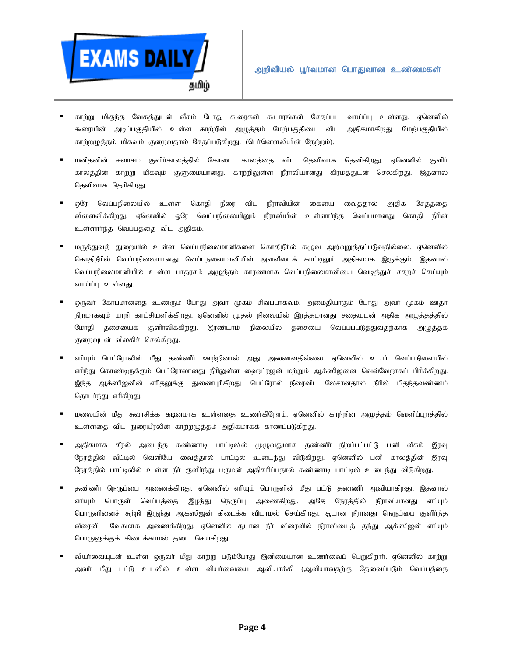

- காற்று மிகுந்த வேகத்துடன் வீசும் போது கூரைகள் கூடாரங்கள் சேதப்பட வாய்ப்பு உள்ளது. ஏனெனில் கூரையின் அடிப்பகுதியில் உள்ள காற்றின் அழுத்தம் மேற்பகுதியை விட அதிகமாகிறது. மேற்பகுதியில் காற்றழுத்தம் மிகவும் குறைவதால் சேதப்படுகிறது. (பெர்னௌலியின் தேற்றம்).
- மனிதனின் சுவாசம் குளிர்காலத்தில் கோடை காலத்தை விட தெளிவாக தெளிகிறது. ஏனெனில் குளிர் காலத்தின் காற்று மிகவும் குளுமையானது. காற்றிலுள்ள நீராவியானது கிரமத்துடன் செல்கிறது. இதனால் தெளிவாக தெரிகிறது.
- $\blacksquare$  ஒரே வெப்பநிலையில் உள்ள கொதி நீரை விட நீராவியின் கையை வைத்தால் அதிக சேதத்தை விளைவிக்கிறது. ஏனெனில் ஒரே வெப்பநிலையிலும் நீராவியின் உள்ளார்ந்த வெப்பமானது கொதி நீரின் உள்ளாா்ந்த வெப்பத்தை விட அதிகம்.
- மருத்துவத் துறையில் உள்ள வெப்பநிலைமானிகளை கொதிநீரில் கழுவ அறிவுறுத்தப்படுவதில்லை. ஏனெனில் கொதிநீரில் வெப்பநிலையானது வெப்பநலைமானியின் அளவீடைக் காட்டிலும் அதிகமாக இருக்கும். இதனால் வெப்பநிலைமானியில் உள்ள பாதரசம் அழுத்தம் காரணமாக வெப்பநிலைமானியை வெடித்துச் சதறச் செய்யும் வாய்ப்பு உள்ளது.
- ஒருவா் கோபமானதை உணரும் போது அவா் முகம் சிவப்பாகவும், அமைதியாகும் போது அவா் முகம் ஊதா நிறமாகவும் மாறி காட்சியளிக்கிறது. ஏனெனில் முதல் நிலையில் இரத்தமானது சதையுடன் அதிக அழுத்தத்தில் மோதி தசையைக் குளிர்விக்கிறது. இரண்டாம் நிலையில் தசையை வெப்பப்படுத்துவதற்காக அழுத்தக் குறைவுடன் விலகிச் செல்கிறது.
- ளியும் பெட்ரோலின் மீது தண்ணீா் ஊற்றினால் அது அணைவதில்லை. ஏனெனில் உயா் வெப்பநிலையில் ளிந்து கொண்டிருக்கும் பெட்ரோலானது நீரிலுள்ள ஹைட்ரஜன் மற்றும் ஆக்ஸிஜனை வெவ்வேறாகப் பிரிக்கிறது. இந்த ஆக்ஸிஜனின் எரிதலுக்கு துணைபுரிகிறது. பெட்ரோல் நீரைவிட லேசானதால் நீரில் மிதந்தவண்ணம் தொடர்ந்து எரிகிறது.
- மலையின் மீது சுவாசிக்க கடினமாக உள்ளதை உணர்கிறோம். ஏனெனில் காற்றின் அழுத்தம் வெளிப்புறத்தில் உள்ளதை விட நுரையீரலின் காற்றழுத்தம் அதிகமாகக் காணப்படுகிறது.
- அதிகமாக கீரல் அடைந்த கண்ணாடி பாட்டிலில் முழுவதுமாக தண்ணீர் நிறப்பப்பட்டு பனி வீசும் இரவு நேரத்தில் வீட்டில் வெளியே வைத்தால் பாட்டில் உடைந்து விடுகிறது. ஏனெனில் பனி காலத்தின் இரவு நேரத்தில் பாட்டிலில் உள்ள நீர் குளிர்ந்து பருமன் அதிகரிப்பதால் கண்ணாடி பாட்டில் உடைந்து விடுகிறது.
- தண்ணீர் நெருப்பை அணைக்கிறது. ஏனெனில் எரியும் பொருளின் மீது பட்டு தண்ணீர் ஆவியாகிறது. இதனால் ளியும் பொருள் வெப்பத்தை இழந்து நெருப்பு அணைகிறது. அதே நேரத்தில் நீராவியானது ளியும் பொருளினைச் சுற்றி இருந்து ஆக்ஸிஜன் கிடைக்க விடாமல் செய்கிறது. சூடான நீரானது நெருப்பை குளிா்ந்த வீரைவிட வேகமாக அணைக்கிறது. ஏனெனில் சூடான நீர் விரைவில் நீராவியைத் தந்து ஆக்ஸிஜன் எரியும் பொருளுக்குக் கிடைக்காமல் தடை செய்கிறது.
- வியர்வையுடன் உள்ள ஒருவர் மீது காற்று படும்போது இனிமையான உணர்வைப் பெறுகிறார். ஏனெனில் காற்று அவா் மீது பட்டு உடலில் உள்ள வியா்வையை ஆவியாக்கி (ஆவியாவதற்கு தேவைப்படும் வெப்பத்தை